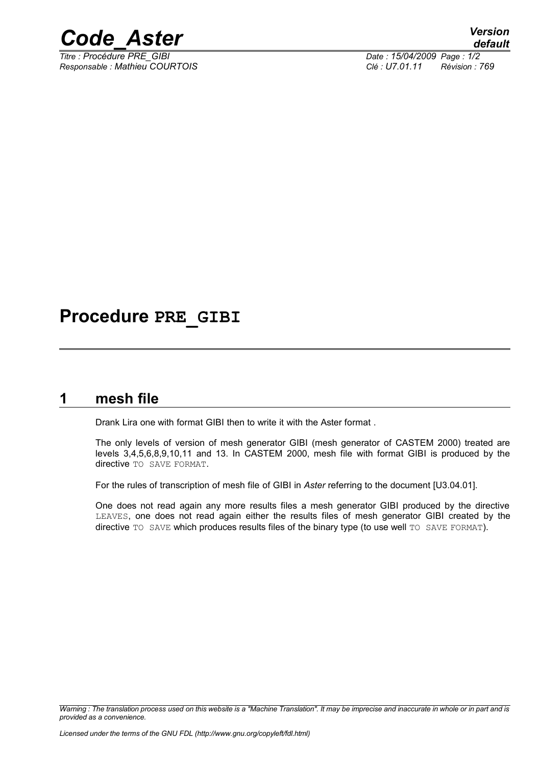

*Titre : Procédure PRE\_GIBI Date : 15/04/2009 Page : 1/2 Responsable : Mathieu COURTOIS Clé : U7.01.11 Révision : 769*

## **Procedure PRE\_GIBI**

### **1 mesh file**

Drank Lira one with format GIBI then to write it with the Aster format .

The only levels of version of mesh generator GIBI (mesh generator of CASTEM 2000) treated are levels 3,4,5,6,8,9,10,11 and 13. In CASTEM 2000, mesh file with format GIBI is produced by the directive TO SAVE FORMAT.

For the rules of transcription of mesh file of GIBI in *Aster* referring to the document [U3.04.01].

One does not read again any more results files a mesh generator GIBI produced by the directive LEAVES, one does not read again either the results files of mesh generator GIBI created by the directive TO SAVE which produces results files of the binary type (to use well TO SAVE FORMAT).

*Warning : The translation process used on this website is a "Machine Translation". It may be imprecise and inaccurate in whole or in part and is provided as a convenience.*